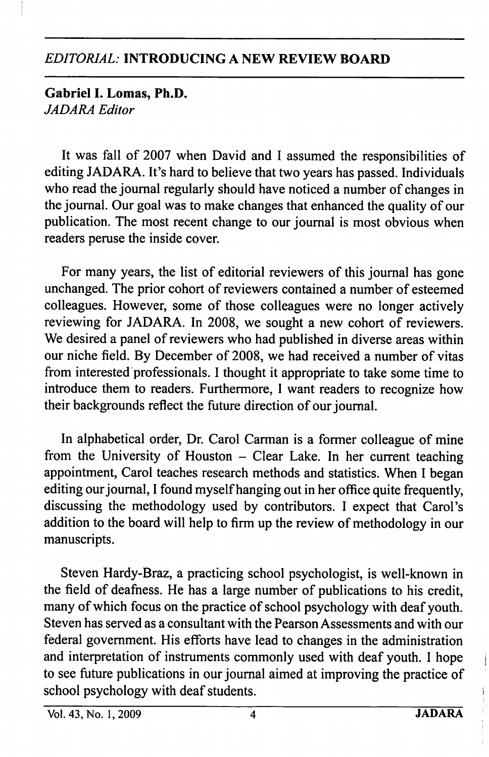## EDITORIAL: INTRODUCING A NEW REVIEW BOARD

Gabriel 1. Lomas, Ph.D. JADARA Editor

It was fall of 2007 when David and I assumed the responsibilities of editing JADARA. It's hard to believe that two years has passed. Individuals who read the journal regularly should have noticed a number of changes in the journal. Our goal was to make changes that enhanced the quality of our publication. The most recent change to our journal is most obvious when readers peruse the inside cover.

For many years, the list of editorial reviewers of this journal has gone unchanged. The prior cohort of reviewers contained a number of esteemed colleagues. However, some of those colleagues were no longer actively reviewing for JADARA. In 2008, we sought a new cohort of reviewers. We desired a panel of reviewers who had published in diverse areas within our niche field. By December of 2008, we had received a number of vitas from interested professionals. I thought it appropriate to take some time to introduce them to readers. Furthermore, I want readers to recognize how their backgrounds reflect the future direction of our journal.

In alphabetical order. Dr. Carol Carman is a former colleague of mine from the University of Houston  $-$  Clear Lake. In her current teaching appointment, Carol teaches research methods and statistics. When I began editing our journal, I found myself hanging out in her office quite frequently, discussing the methodology used by contributors. I expect that Carol's addition to the board will help to firm up the review of methodology in our manuscripts.

Steven Hardy-Braz, a practicing school psychologist, is well-known in the field of deafness. He has a large number of publications to his credit, many of which focus on the practice of school psychology with deaf youth. Steven has served as a consultant with the Pearson Assessments and with our federal government. His efforts have lead to changes in the administration and interpretation of instruments commonly used with deaf youth. I hope to see future publications in our journal aimed at improving the practice of school psychology with deaf students.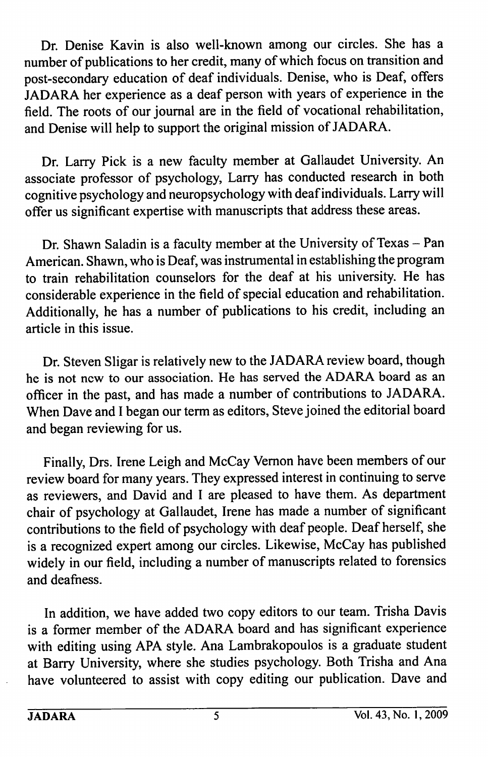Dr. Denise Kavin is also well-known among our circles. She has a number of publications to her credit, many of which focus on transition and post-secondary education of deaf individuals. Denise, who is Deaf, offers JADARA her experience as a deaf person with years of experience in the field. The roots of our journal are in the field of vocational rehabilitation, and Denise will help to support the original mission of JADARA.

Dr. Larry Pick is a new faculty member at Gallaudet University. An associate professor of psychology, Larry has conducted research in both cognitive psychology and neuropsychology with deaf individuals. Larry will offer us significant expertise with manuscripts that address these areas.

Dr. Shawn Saladin is a faculty member at the University of Texas - Pan American. Shawn, who is Deaf, was instrumental in establishing the program to train rehabilitation counselors for the deaf at his university. He has considerable experience in the field of special education and rehabilitation. Additionally, he has a number of publications to his credit, including an article in this issue.

Dr. Steven Sligar is relatively new to the JADARA review board, though he is not new to our association. He has served the ADARA board as an officer in the past, and has made a number of contributions to JADARA. When Dave and I began our term as editors, Steve joined the editorial board and began reviewing for us.

Finally, Drs. Irene Leigh and McCay Vemon have been members of our review board for many years. They expressed interest in continuing to serve as reviewers, and David and I are pleased to have them. As department chair of psychology at Gallaudet, Irene has made a number of significant contributions to the field of psychology with deaf people. Deaf herself, she is a recognized expert among our circles. Likewise, McCay has published widely in our field, including a number of manuscripts related to forensics and deafness.

In addition, we have added two copy editors to our team. Trisha Davis is a former member of the ADARA board and has significant experience with editing using APA style. Ana Lambrakopoulos is a graduate student at Barry University, where she studies psychology. Both Trisha and Ana have volunteered to assist with copy editing our publication. Dave and